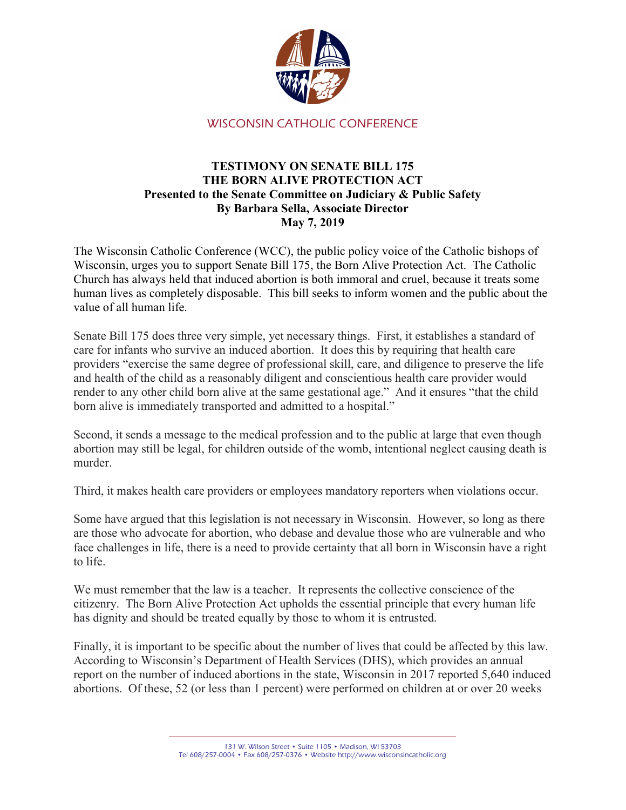

WISCONSIN CATHOLIC CONFERENCE

## TESTIMONY ON SENATE BILL 175 THE BORN ALIVE PROTECTION ACT Presented to the Senate Committee on Judiciary & Public Safety By Barbara Sella, Associate Director May 7, 2019

The Wisconsin Catholic Conference (WCC), the public policy voice of the Catholic bishops of Wisconsin, urges you to support Senate Bill 175, the Born Alive Protection Act. The Catholic Church has always held that induced abortion is both immoral and cruel, because it treats some human lives as completely disposable. This bill seeks to inform women and the public about the value of all human life.

Senate Bill 175 does three very simple, yet necessary things. First, it establishes a standard of care for infants who survive an induced abortion. It does this by requiring that health care providers "exercise the same degree of professional skill, care, and diligence to preserve the life and health of the child as a reasonably diligent and conscientious health care provider would render to any other child born alive at the same gestational age." And it ensures "that the child born alive is immediately transported and admitted to a hospital."

Second, it sends a message to the medical profession and to the public at large that even though abortion may still be legal, for children outside of the womb, intentional neglect causing death is murder.

Third, it makes health care providers or employees mandatory reporters when violations occur.

Some have argued that this legislation is not necessary in Wisconsin. However, so long as there are those who advocate for abortion, who debase and devalue those who are vulnerable and who face challenges in life, there is a need to provide certainty that all born in Wisconsin have a right to life.

We must remember that the law is a teacher. It represents the collective conscience of the citizenry. The Born Alive Protection Act upholds the essential principle that every human life has dignity and should be treated equally by those to whom it is entrusted.

Finally, it is important to be specific about the number of lives that could be affected by this law. According to Wisconsin's Department of Health Services (DHS), which provides an annual report on the number of induced abortions in the state, Wisconsin in 2017 reported 5,640 induced abortions. Of these, 52 (or less than 1 percent) were performed on children at or over 20 weeks